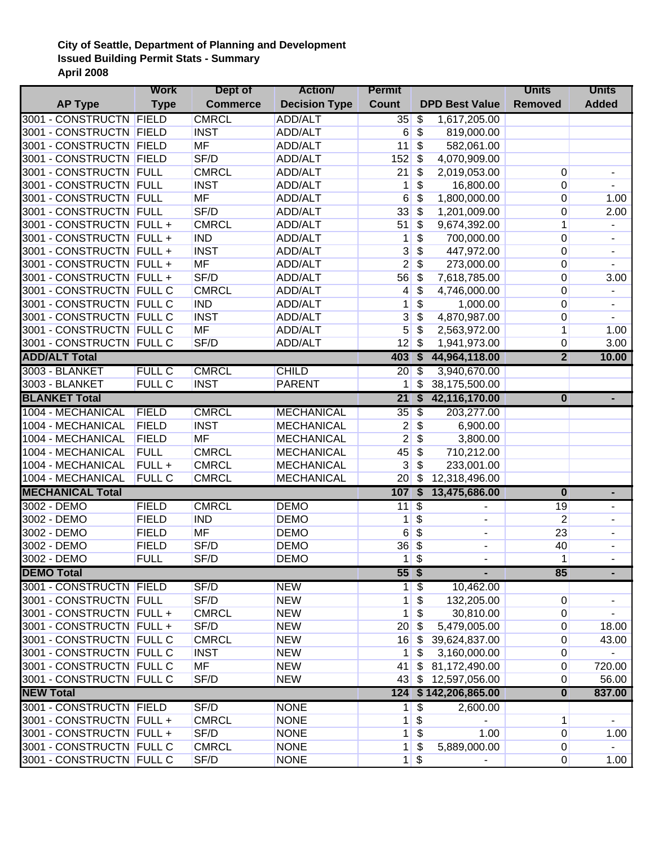## **City of Seattle, Department of Planning and Development Issued Building Permit Stats - Summary April 2008**

|                          | <b>Work</b>   | Dept of         | <b>Action</b>              | Permit                           |                           |                       | <b>Units</b>            | <b>Units</b>             |
|--------------------------|---------------|-----------------|----------------------------|----------------------------------|---------------------------|-----------------------|-------------------------|--------------------------|
| <b>AP Type</b>           | <b>Type</b>   | <b>Commerce</b> | <b>Decision Type</b>       | <b>Count</b>                     |                           | <b>DPD Best Value</b> | <b>Removed</b>          | <b>Added</b>             |
| 3001 - CONSTRUCTN FIELD  |               | <b>CMRCL</b>    | ADD/ALT                    | 35                               | \$                        | 1,617,205.00          |                         |                          |
| 3001 - CONSTRUCTN FIELD  |               | <b>INST</b>     | ADD/ALT                    | 6                                | \$                        | 819,000.00            |                         |                          |
| 3001 - CONSTRUCTN FIELD  |               | <b>MF</b>       | ADD/ALT                    | 11                               | \$                        | 582,061.00            |                         |                          |
| 3001 - CONSTRUCTN FIELD  |               | SF/D            | ADD/ALT                    | 152                              | \$                        | 4,070,909.00          |                         |                          |
| 3001 - CONSTRUCTN FULL   |               | <b>CMRCL</b>    | ADD/ALT                    | 21                               | \$                        | 2,019,053.00          | 0                       | $\overline{\phantom{a}}$ |
| 3001 - CONSTRUCTN FULL   |               | <b>INST</b>     | ADD/ALT                    | 1                                | \$                        | 16,800.00             | 0                       | $\overline{\phantom{a}}$ |
| 3001 - CONSTRUCTN FULL   |               | <b>MF</b>       | ADD/ALT                    | 6                                | \$                        | 1,800,000.00          | $\mathbf 0$             | 1.00                     |
| 3001 - CONSTRUCTN FULL   |               | SF/D            | ADD/ALT                    | 33                               | \$                        | 1,201,009.00          | 0                       | 2.00                     |
| 3001 - CONSTRUCTN FULL + |               | <b>CMRCL</b>    | ADD/ALT                    | 51                               | \$                        | 9,674,392.00          | $\mathbf 1$             |                          |
| 3001 - CONSTRUCTN FULL + |               | <b>IND</b>      | ADD/ALT                    | $\mathbf{1}$                     | \$                        | 700,000.00            | $\mathbf 0$             | $\blacksquare$           |
| 3001 - CONSTRUCTN FULL + |               | <b>INST</b>     | ADD/ALT                    | 3                                | \$                        | 447,972.00            | $\boldsymbol{0}$        | $\blacksquare$           |
| 3001 - CONSTRUCTN FULL + |               | MF              | ADD/ALT                    | $\mathbf{2}$                     | \$                        | 273,000.00            | $\boldsymbol{0}$        |                          |
| 3001 - CONSTRUCTN FULL + |               | SF/D            | ADD/ALT                    | 56                               | \$                        | 7,618,785.00          | $\boldsymbol{0}$        | 3.00                     |
| 3001 - CONSTRUCTN FULL C |               | <b>CMRCL</b>    | ADD/ALT                    | 4                                | \$                        | 4,746,000.00          | $\boldsymbol{0}$        |                          |
| 3001 - CONSTRUCTN FULL C |               | <b>IND</b>      | ADD/ALT                    | 1                                | \$                        | 1,000.00              | $\pmb{0}$               | $\overline{\phantom{a}}$ |
| 3001 - CONSTRUCTN FULL C |               | <b>INST</b>     | ADD/ALT                    | 3                                | \$                        | 4,870,987.00          | $\pmb{0}$               |                          |
| 3001 - CONSTRUCTN FULL C |               | MF              | <b>ADD/ALT</b>             | 5                                | \$                        | 2,563,972.00          | $\mathbf 1$             | 1.00                     |
| 3001 - CONSTRUCTN FULL C |               | SF/D            | <b>ADD/ALT</b>             | 12                               | \$                        | 1,941,973.00          | $\boldsymbol{0}$        | 3.00                     |
| <b>ADD/ALT Total</b>     |               |                 |                            | 403                              | $\overline{\mathbf{s}}$   | 44,964,118.00         | $\overline{2}$          | 10.00                    |
| 3003 - BLANKET           | <b>FULL C</b> | <b>CMRCL</b>    | <b>CHILD</b>               | $20\sqrt{3}$                     |                           | 3,940,670.00          |                         |                          |
| 3003 - BLANKET           | <b>FULL C</b> | <b>INST</b>     | <b>PARENT</b>              | 1                                | $\overline{\mathcal{S}}$  | 38,175,500.00         |                         |                          |
| <b>BLANKET Total</b>     |               |                 |                            | 21S                              |                           | 42,116,170.00         | $\bf{0}$                |                          |
| 1004 - MECHANICAL        | FIELD         | <b>CMRCL</b>    | <b>MECHANICAL</b>          | 35                               | $\overline{\mathcal{S}}$  | 203,277.00            |                         |                          |
| 1004 - MECHANICAL        | <b>FIELD</b>  | <b>INST</b>     | <b>MECHANICAL</b>          | 2                                | \$                        | 6,900.00              |                         |                          |
| 1004 - MECHANICAL        | <b>FIELD</b>  | MF              | <b>MECHANICAL</b>          | $\mathbf{2}$                     | \$                        | 3,800.00              |                         |                          |
| 1004 - MECHANICAL        | <b>FULL</b>   | <b>CMRCL</b>    | <b>MECHANICAL</b>          | 45                               | \$                        | 710,212.00            |                         |                          |
| 1004 - MECHANICAL        | FULL +        | <b>CMRCL</b>    | <b>MECHANICAL</b>          | 3                                | \$                        | 233,001.00            |                         |                          |
| 1004 - MECHANICAL        | <b>FULL C</b> | <b>CMRCL</b>    | <b>MECHANICAL</b>          | 20                               | \$                        | 12,318,496.00         |                         |                          |
| <b>MECHANICAL Total</b>  |               |                 |                            | 107 <sub>5</sub>                 |                           | 13,475,686.00         | $\bf{0}$                | ٠                        |
| 3002 - DEMO              | <b>FIELD</b>  | <b>CMRCL</b>    | <b>DEMO</b>                | $11 \overline{\text{S}}$         |                           |                       | 19                      |                          |
| 3002 - DEMO              | <b>FIELD</b>  | <b>IND</b>      | <b>DEMO</b>                | $\mathbf{1}$                     | $\boldsymbol{\mathsf{S}}$ |                       | $\overline{2}$          | -                        |
| 3002 - DEMO              | <b>FIELD</b>  | <b>MF</b>       | <b>DEMO</b>                | 6                                | $\overline{\mathcal{S}}$  | $\blacksquare$        | 23                      | $\overline{\phantom{0}}$ |
| 3002 - DEMO              | <b>FIELD</b>  | SF/D            |                            | $36 \overline{\smash{\big)}\ 5}$ |                           | $\blacksquare$        | 40                      | $\overline{\phantom{0}}$ |
| 3002 - DEMO              | <b>FULL</b>   | SF/D            | <b>DEMO</b><br><b>DEMO</b> | $\mathbf{1}$                     | $\overline{\mathcal{S}}$  |                       | 1                       | $\overline{\phantom{a}}$ |
|                          |               |                 |                            |                                  |                           |                       |                         |                          |
| <b>DEMO Total</b>        |               |                 |                            | 55S                              |                           |                       | 85                      | ٠                        |
| 3001 - CONSTRUCTN FIELD  |               | SF/D            | <b>NEW</b>                 |                                  | $1 \,$ \$                 | 10,462.00             |                         |                          |
| 3001 - CONSTRUCTN FULL   |               | SF/D            | <b>NEW</b>                 | 1                                | \$                        | 132,205.00            | 0                       | -                        |
| 3001 - CONSTRUCTN FULL + |               | <b>CMRCL</b>    | <b>NEW</b>                 | $\mathbf{1}$                     | \$                        | 30,810.00             | 0                       |                          |
| 3001 - CONSTRUCTN FULL + |               | SF/D            | <b>NEW</b>                 | 20                               | \$                        | 5,479,005.00          | 0                       | 18.00                    |
| 3001 - CONSTRUCTN FULL C |               | <b>CMRCL</b>    | <b>NEW</b>                 | 16                               | \$                        | 39,624,837.00         | 0                       | 43.00                    |
| 3001 - CONSTRUCTN FULL C |               | <b>INST</b>     | <b>NEW</b>                 | $\mathbf{1}$                     | \$                        | 3,160,000.00          | 0                       |                          |
| 3001 - CONSTRUCTN FULL C |               | MF              | <b>NEW</b>                 | 41                               | \$                        | 81,172,490.00         | 0                       | 720.00                   |
| 3001 - CONSTRUCTN FULL C |               | SF/D            | <b>NEW</b>                 | $43 \vert \text{S}$              |                           | 12,597,056.00         | 0                       | 56.00                    |
| <b>NEW Total</b>         |               |                 |                            | 124                              |                           | \$142,206,865.00      | $\overline{\mathbf{0}}$ | 837.00                   |
| 3001 - CONSTRUCTN FIELD  |               | SF/D            | <b>NONE</b>                |                                  | $1 \overline{\text{S}}$   | 2,600.00              |                         |                          |
| 3001 - CONSTRUCTN FULL + |               | <b>CMRCL</b>    | <b>NONE</b>                | $\mathbf{1}$                     | $\frac{1}{2}$             |                       | 1                       |                          |
| 3001 - CONSTRUCTN FULL + |               | SF/D            | <b>NONE</b>                | $\mathbf{1}$                     | \$                        | 1.00                  | $\mathbf 0$             | 1.00                     |
| 3001 - CONSTRUCTN FULL C |               | <b>CMRCL</b>    | <b>NONE</b>                | $\mathbf{1}$                     | \$                        | 5,889,000.00          | 0                       |                          |
| 3001 - CONSTRUCTN FULL C |               | SF/D            | <b>NONE</b>                | $1 \,$ \$                        |                           |                       | $\overline{0}$          | 1.00                     |